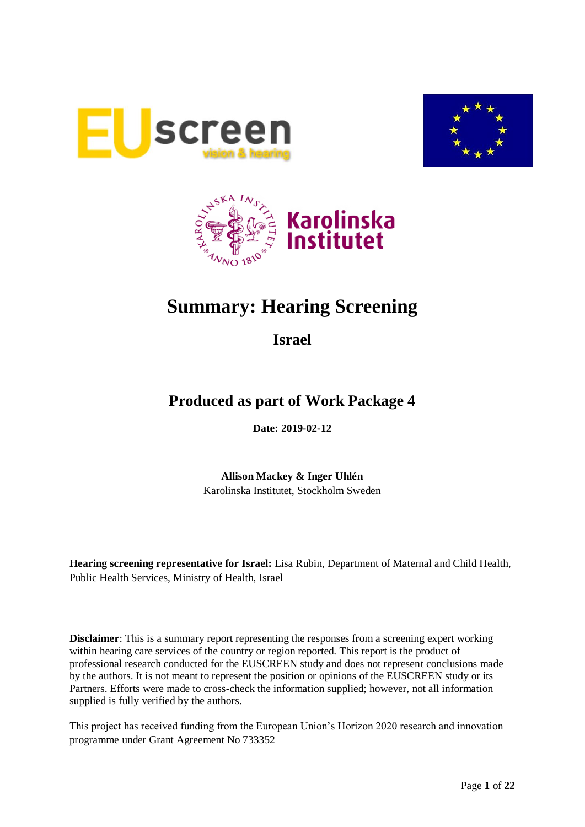





# **Summary: Hearing Screening**

**Israel**

## **Produced as part of Work Package 4**

**Date: 2019-02-12**

**Allison Mackey & Inger Uhlén** Karolinska Institutet, Stockholm Sweden

**Hearing screening representative for Israel:** Lisa Rubin, Department of Maternal and Child Health, Public Health Services, Ministry of Health, Israel

**Disclaimer**: This is a summary report representing the responses from a screening expert working within hearing care services of the country or region reported. This report is the product of professional research conducted for the EUSCREEN study and does not represent conclusions made by the authors. It is not meant to represent the position or opinions of the EUSCREEN study or its Partners. Efforts were made to cross-check the information supplied; however, not all information supplied is fully verified by the authors.

This project has received funding from the European Union's Horizon 2020 research and innovation programme under Grant Agreement No 733352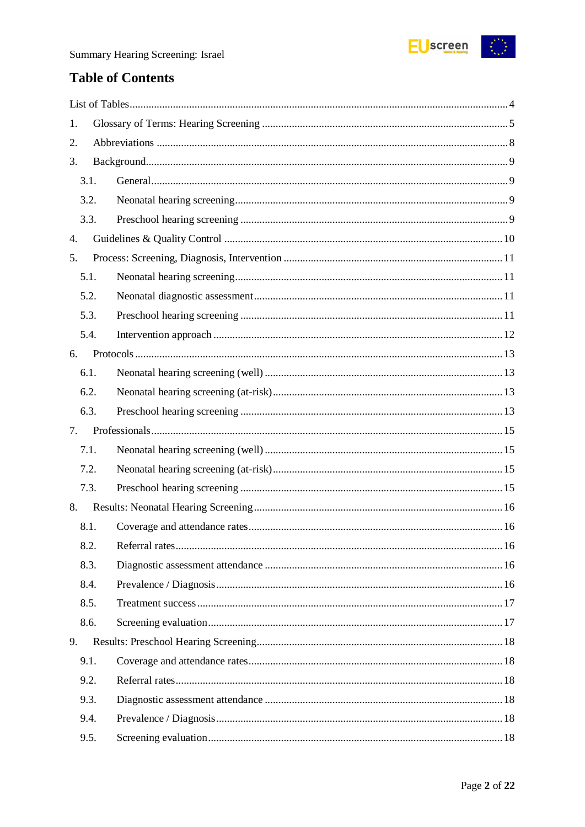

## **Table of Contents**

| 1.   |  |  |
|------|--|--|
| 2.   |  |  |
| 3.   |  |  |
| 3.1. |  |  |
| 3.2. |  |  |
| 3.3. |  |  |
| 4.   |  |  |
| 5.   |  |  |
| 5.1. |  |  |
| 5.2. |  |  |
| 5.3. |  |  |
| 5.4. |  |  |
| 6.   |  |  |
| 6.1. |  |  |
| 6.2. |  |  |
| 6.3. |  |  |
| 7.   |  |  |
| 7.1. |  |  |
| 7.2. |  |  |
|      |  |  |
| 7.3. |  |  |
| 8.   |  |  |
| 8.1. |  |  |
| 8.2. |  |  |
| 8.3. |  |  |
| 8.4. |  |  |
| 8.5. |  |  |
| 8.6. |  |  |
| 9.   |  |  |
| 9.1. |  |  |
| 9.2. |  |  |
| 9.3. |  |  |
| 9.4. |  |  |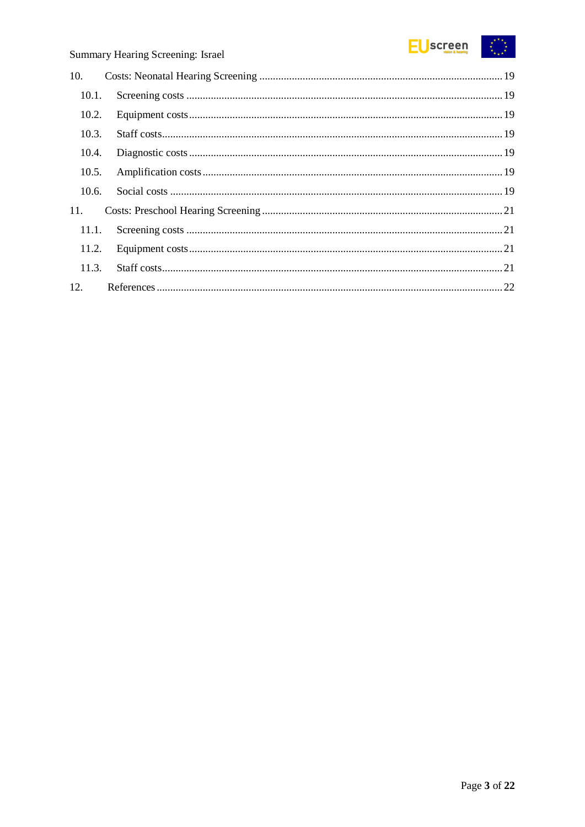

| 10.1.<br>10.2.<br>10.3.<br>10.4.<br>10.5.<br>10.6.<br>11.1.<br>11.2.<br>11.3. |
|-------------------------------------------------------------------------------|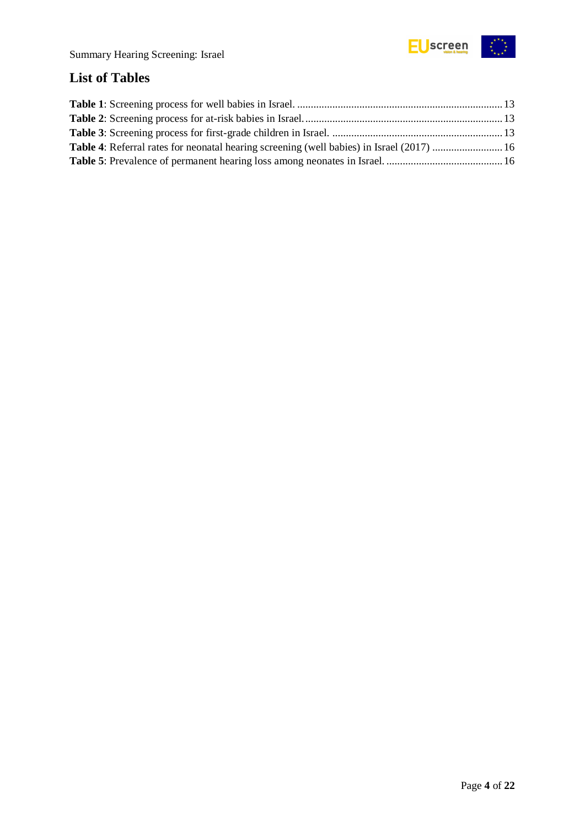

### <span id="page-3-0"></span>**List of Tables**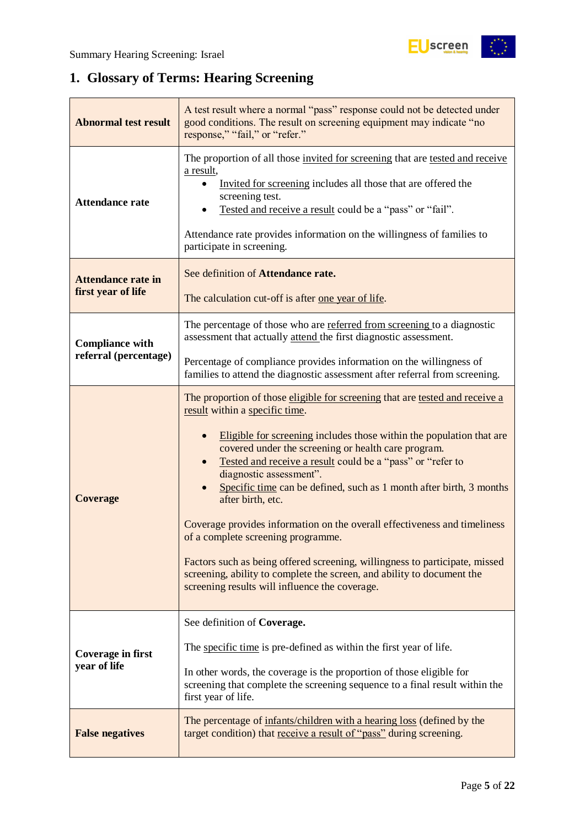## <span id="page-4-0"></span>**1. Glossary of Terms: Hearing Screening**

| <b>Abnormal test result</b>                     | A test result where a normal "pass" response could not be detected under<br>good conditions. The result on screening equipment may indicate "no<br>response," "fail," or "refer."                                                                                                                                                                                                                                                                                                                                                                                                                                                                                                                                                                                |  |  |
|-------------------------------------------------|------------------------------------------------------------------------------------------------------------------------------------------------------------------------------------------------------------------------------------------------------------------------------------------------------------------------------------------------------------------------------------------------------------------------------------------------------------------------------------------------------------------------------------------------------------------------------------------------------------------------------------------------------------------------------------------------------------------------------------------------------------------|--|--|
| <b>Attendance rate</b>                          | The proportion of all those invited for screening that are tested and receive<br>a result,<br>Invited for screening includes all those that are offered the<br>screening test.<br>Tested and receive a result could be a "pass" or "fail".<br>Attendance rate provides information on the willingness of families to<br>participate in screening.                                                                                                                                                                                                                                                                                                                                                                                                                |  |  |
| <b>Attendance rate in</b><br>first year of life | See definition of Attendance rate.<br>The calculation cut-off is after one year of life.                                                                                                                                                                                                                                                                                                                                                                                                                                                                                                                                                                                                                                                                         |  |  |
| <b>Compliance with</b>                          | The percentage of those who are referred from screening to a diagnostic<br>assessment that actually attend the first diagnostic assessment.                                                                                                                                                                                                                                                                                                                                                                                                                                                                                                                                                                                                                      |  |  |
| referral (percentage)                           | Percentage of compliance provides information on the willingness of<br>families to attend the diagnostic assessment after referral from screening.                                                                                                                                                                                                                                                                                                                                                                                                                                                                                                                                                                                                               |  |  |
| <b>Coverage</b>                                 | The proportion of those eligible for screening that are tested and receive a<br>result within a specific time.<br>Eligible for screening includes those within the population that are<br>covered under the screening or health care program.<br>Tested and receive a result could be a "pass" or "refer to<br>diagnostic assessment".<br>Specific time can be defined, such as 1 month after birth, 3 months<br>after birth, etc.<br>Coverage provides information on the overall effectiveness and timeliness<br>of a complete screening programme.<br>Factors such as being offered screening, willingness to participate, missed<br>screening, ability to complete the screen, and ability to document the<br>screening results will influence the coverage. |  |  |
| <b>Coverage in first</b><br>year of life        | See definition of Coverage.<br>The specific time is pre-defined as within the first year of life.<br>In other words, the coverage is the proportion of those eligible for<br>screening that complete the screening sequence to a final result within the<br>first year of life.                                                                                                                                                                                                                                                                                                                                                                                                                                                                                  |  |  |
| <b>False negatives</b>                          | The percentage of infants/children with a hearing loss (defined by the<br>target condition) that receive a result of "pass" during screening.                                                                                                                                                                                                                                                                                                                                                                                                                                                                                                                                                                                                                    |  |  |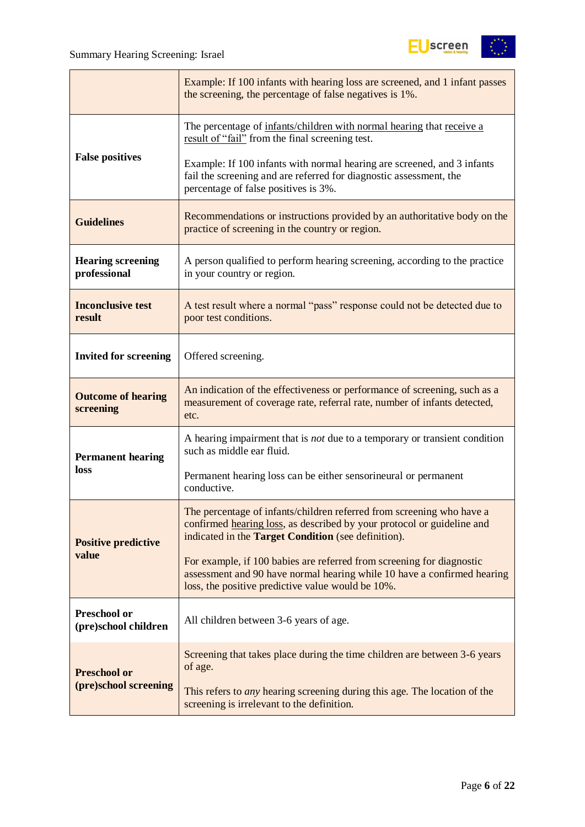

|                                             | Example: If 100 infants with hearing loss are screened, and 1 infant passes<br>the screening, the percentage of false negatives is 1%.                                                                        |
|---------------------------------------------|---------------------------------------------------------------------------------------------------------------------------------------------------------------------------------------------------------------|
|                                             | The percentage of infants/children with normal hearing that receive a<br>result of "fail" from the final screening test.                                                                                      |
| <b>False positives</b>                      | Example: If 100 infants with normal hearing are screened, and 3 infants<br>fail the screening and are referred for diagnostic assessment, the<br>percentage of false positives is 3%.                         |
| <b>Guidelines</b>                           | Recommendations or instructions provided by an authoritative body on the<br>practice of screening in the country or region.                                                                                   |
| <b>Hearing screening</b><br>professional    | A person qualified to perform hearing screening, according to the practice<br>in your country or region.                                                                                                      |
| <b>Inconclusive test</b><br>result          | A test result where a normal "pass" response could not be detected due to<br>poor test conditions.                                                                                                            |
| <b>Invited for screening</b>                | Offered screening.                                                                                                                                                                                            |
| <b>Outcome of hearing</b><br>screening      | An indication of the effectiveness or performance of screening, such as a<br>measurement of coverage rate, referral rate, number of infants detected,<br>etc.                                                 |
| <b>Permanent hearing</b>                    | A hearing impairment that is <i>not</i> due to a temporary or transient condition<br>such as middle ear fluid.                                                                                                |
| loss                                        | Permanent hearing loss can be either sensorineural or permanent<br>conductive.                                                                                                                                |
| <b>Positive predictive</b>                  | The percentage of infants/children referred from screening who have a<br>confirmed hearing loss, as described by your protocol or guideline and<br>indicated in the <b>Target Condition</b> (see definition). |
| value                                       | For example, if 100 babies are referred from screening for diagnostic<br>assessment and 90 have normal hearing while 10 have a confirmed hearing<br>loss, the positive predictive value would be 10%.         |
| <b>Preschool or</b><br>(pre)school children | All children between 3-6 years of age.                                                                                                                                                                        |
| <b>Preschool or</b>                         | Screening that takes place during the time children are between 3-6 years<br>of age.                                                                                                                          |
| (pre)school screening                       | This refers to <i>any</i> hearing screening during this age. The location of the<br>screening is irrelevant to the definition.                                                                                |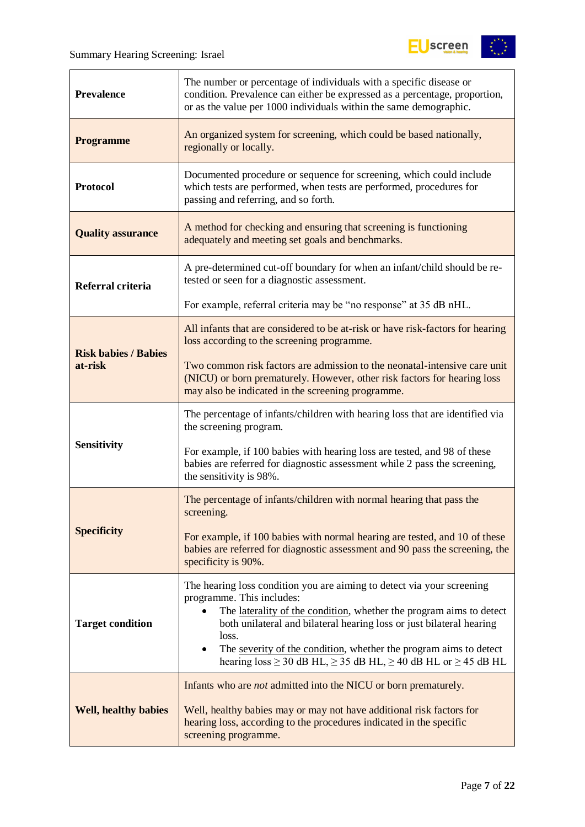$\mathbf{r}$ 



| The number or percentage of individuals with a specific disease or<br>condition. Prevalence can either be expressed as a percentage, proportion,<br><b>Prevalence</b><br>or as the value per 1000 individuals within the same demographic. |                                                                                                                                                                                                                                                                                                                                                                                                                                |  |
|--------------------------------------------------------------------------------------------------------------------------------------------------------------------------------------------------------------------------------------------|--------------------------------------------------------------------------------------------------------------------------------------------------------------------------------------------------------------------------------------------------------------------------------------------------------------------------------------------------------------------------------------------------------------------------------|--|
| <b>Programme</b>                                                                                                                                                                                                                           | An organized system for screening, which could be based nationally,<br>regionally or locally.                                                                                                                                                                                                                                                                                                                                  |  |
| <b>Protocol</b>                                                                                                                                                                                                                            | Documented procedure or sequence for screening, which could include<br>which tests are performed, when tests are performed, procedures for<br>passing and referring, and so forth.                                                                                                                                                                                                                                             |  |
| <b>Quality assurance</b>                                                                                                                                                                                                                   | A method for checking and ensuring that screening is functioning<br>adequately and meeting set goals and benchmarks.                                                                                                                                                                                                                                                                                                           |  |
| Referral criteria                                                                                                                                                                                                                          | A pre-determined cut-off boundary for when an infant/child should be re-<br>tested or seen for a diagnostic assessment.                                                                                                                                                                                                                                                                                                        |  |
|                                                                                                                                                                                                                                            | For example, referral criteria may be "no response" at 35 dB nHL.                                                                                                                                                                                                                                                                                                                                                              |  |
| <b>Risk babies / Babies</b>                                                                                                                                                                                                                | All infants that are considered to be at-risk or have risk-factors for hearing<br>loss according to the screening programme.                                                                                                                                                                                                                                                                                                   |  |
| at-risk                                                                                                                                                                                                                                    | Two common risk factors are admission to the neonatal-intensive care unit<br>(NICU) or born prematurely. However, other risk factors for hearing loss<br>may also be indicated in the screening programme.                                                                                                                                                                                                                     |  |
|                                                                                                                                                                                                                                            | The percentage of infants/children with hearing loss that are identified via<br>the screening program.                                                                                                                                                                                                                                                                                                                         |  |
| <b>Sensitivity</b>                                                                                                                                                                                                                         | For example, if 100 babies with hearing loss are tested, and 98 of these<br>babies are referred for diagnostic assessment while 2 pass the screening,<br>the sensitivity is 98%.                                                                                                                                                                                                                                               |  |
|                                                                                                                                                                                                                                            | The percentage of infants/children with normal hearing that pass the<br>screening.                                                                                                                                                                                                                                                                                                                                             |  |
| <b>Specificity</b>                                                                                                                                                                                                                         | For example, if 100 babies with normal hearing are tested, and 10 of these<br>babies are referred for diagnostic assessment and 90 pass the screening, the<br>specificity is 90%.                                                                                                                                                                                                                                              |  |
| <b>Target condition</b>                                                                                                                                                                                                                    | The hearing loss condition you are aiming to detect via your screening<br>programme. This includes:<br>The laterality of the condition, whether the program aims to detect<br>both unilateral and bilateral hearing loss or just bilateral hearing<br>loss.<br>The severity of the condition, whether the program aims to detect<br>$\bullet$<br>hearing $loss \ge 30$ dB HL, $\ge 35$ dB HL, $\ge 40$ dB HL or $\ge 45$ dB HL |  |
| <b>Well, healthy babies</b>                                                                                                                                                                                                                | Infants who are <i>not</i> admitted into the NICU or born prematurely.<br>Well, healthy babies may or may not have additional risk factors for<br>hearing loss, according to the procedures indicated in the specific<br>screening programme.                                                                                                                                                                                  |  |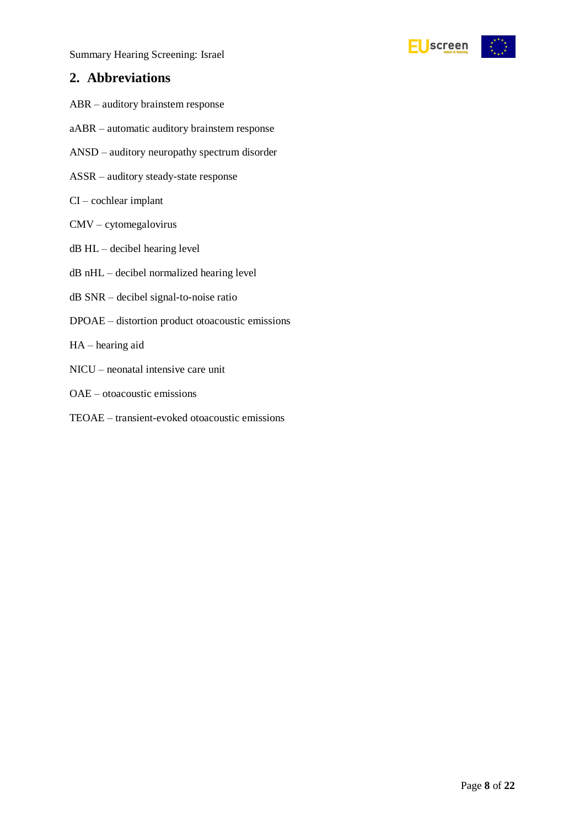Summary Hearing Screening: Israel

### <span id="page-7-0"></span>**2. Abbreviations**

- ABR auditory brainstem response
- aABR automatic auditory brainstem response
- ANSD auditory neuropathy spectrum disorder
- ASSR auditory steady-state response
- CI cochlear implant
- CMV cytomegalovirus
- dB HL decibel hearing level
- dB nHL decibel normalized hearing level
- dB SNR decibel signal-to-noise ratio
- DPOAE distortion product otoacoustic emissions
- HA hearing aid
- NICU neonatal intensive care unit
- OAE otoacoustic emissions
- TEOAE transient-evoked otoacoustic emissions

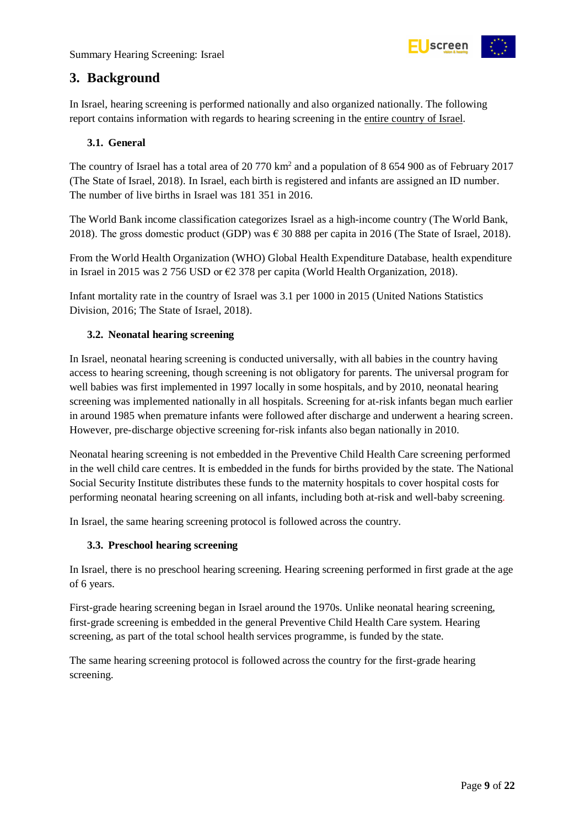

### <span id="page-8-0"></span>**3. Background**

In Israel, hearing screening is performed nationally and also organized nationally. The following report contains information with regards to hearing screening in the entire country of Israel.

#### <span id="page-8-1"></span>**3.1. General**

The country of Israel has a total area of 20 770 km<sup>2</sup> and a population of 8 654 900 as of February 2017 (The State of Israel, 2018). In Israel, each birth is registered and infants are assigned an ID number. The number of live births in Israel was 181 351 in 2016.

The World Bank income classification categorizes Israel as a high-income country (The World Bank, 2018). The gross domestic product (GDP) was  $\epsilon$  30 888 per capita in 2016 (The State of Israel, 2018).

From the World Health Organization (WHO) Global Health Expenditure Database, health expenditure in Israel in 2015 was 2 756 USD or €2 378 per capita (World Health Organization, 2018).

Infant mortality rate in the country of Israel was 3.1 per 1000 in 2015 (United Nations Statistics Division, 2016; The State of Israel, 2018).

#### <span id="page-8-2"></span>**3.2. Neonatal hearing screening**

In Israel, neonatal hearing screening is conducted universally, with all babies in the country having access to hearing screening, though screening is not obligatory for parents. The universal program for well babies was first implemented in 1997 locally in some hospitals, and by 2010, neonatal hearing screening was implemented nationally in all hospitals. Screening for at-risk infants began much earlier in around 1985 when premature infants were followed after discharge and underwent a hearing screen. However, pre-discharge objective screening for-risk infants also began nationally in 2010.

Neonatal hearing screening is not embedded in the Preventive Child Health Care screening performed in the well child care centres. It is embedded in the funds for births provided by the state. The National Social Security Institute distributes these funds to the maternity hospitals to cover hospital costs for performing neonatal hearing screening on all infants, including both at-risk and well-baby screening.

In Israel, the same hearing screening protocol is followed across the country.

#### <span id="page-8-3"></span>**3.3. Preschool hearing screening**

In Israel, there is no preschool hearing screening. Hearing screening performed in first grade at the age of 6 years.

First-grade hearing screening began in Israel around the 1970s. Unlike neonatal hearing screening, first-grade screening is embedded in the general Preventive Child Health Care system. Hearing screening, as part of the total school health services programme, is funded by the state.

The same hearing screening protocol is followed across the country for the first-grade hearing screening.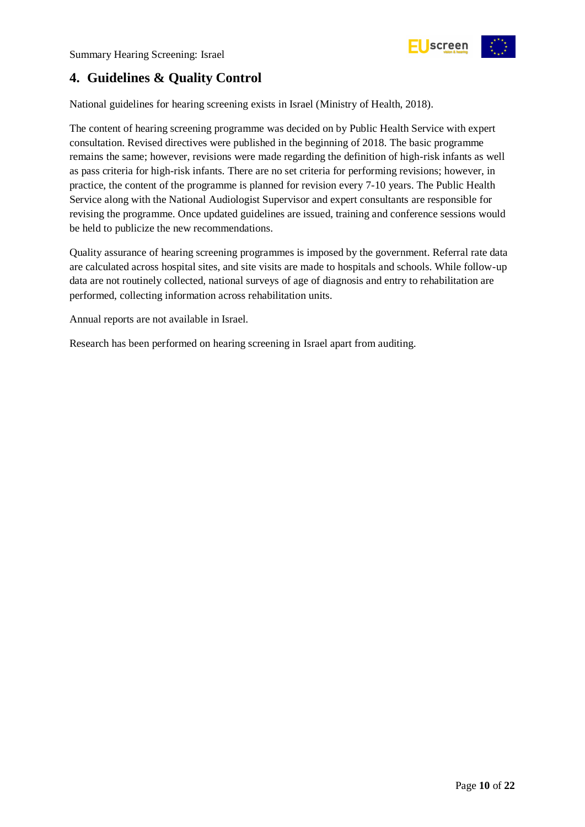

### <span id="page-9-0"></span>**4. Guidelines & Quality Control**

National guidelines for hearing screening exists in Israel (Ministry of Health, 2018).

The content of hearing screening programme was decided on by Public Health Service with expert consultation. Revised directives were published in the beginning of 2018. The basic programme remains the same; however, revisions were made regarding the definition of high-risk infants as well as pass criteria for high-risk infants. There are no set criteria for performing revisions; however, in practice, the content of the programme is planned for revision every 7-10 years. The Public Health Service along with the National Audiologist Supervisor and expert consultants are responsible for revising the programme. Once updated guidelines are issued, training and conference sessions would be held to publicize the new recommendations.

Quality assurance of hearing screening programmes is imposed by the government. Referral rate data are calculated across hospital sites, and site visits are made to hospitals and schools. While follow-up data are not routinely collected, national surveys of age of diagnosis and entry to rehabilitation are performed, collecting information across rehabilitation units.

Annual reports are not available in Israel.

Research has been performed on hearing screening in Israel apart from auditing.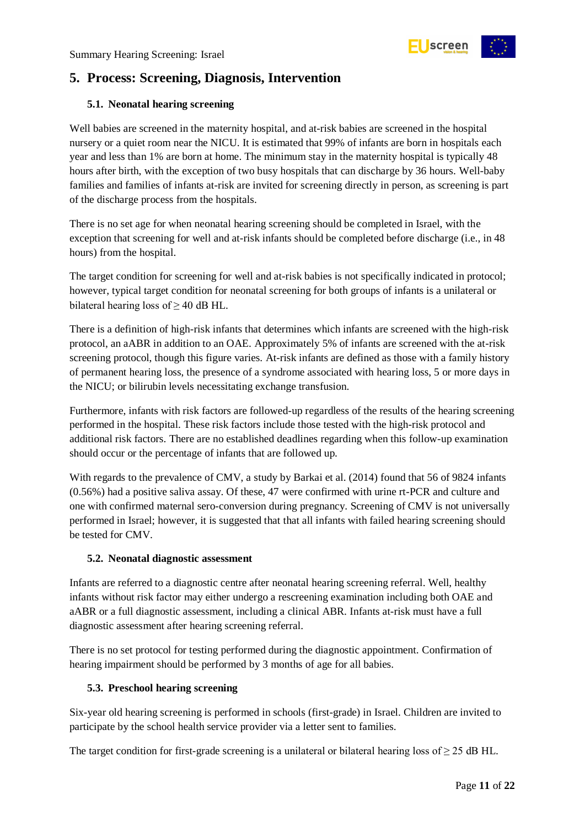

### <span id="page-10-0"></span>**5. Process: Screening, Diagnosis, Intervention**

#### <span id="page-10-1"></span>**5.1. Neonatal hearing screening**

Well babies are screened in the maternity hospital, and at-risk babies are screened in the hospital nursery or a quiet room near the NICU. It is estimated that 99% of infants are born in hospitals each year and less than 1% are born at home. The minimum stay in the maternity hospital is typically 48 hours after birth, with the exception of two busy hospitals that can discharge by 36 hours. Well-baby families and families of infants at-risk are invited for screening directly in person, as screening is part of the discharge process from the hospitals.

There is no set age for when neonatal hearing screening should be completed in Israel, with the exception that screening for well and at-risk infants should be completed before discharge (i.e., in 48 hours) from the hospital.

The target condition for screening for well and at-risk babies is not specifically indicated in protocol; however, typical target condition for neonatal screening for both groups of infants is a unilateral or bilateral hearing loss of  $\geq$  40 dB HL.

There is a definition of high-risk infants that determines which infants are screened with the high-risk protocol, an aABR in addition to an OAE. Approximately 5% of infants are screened with the at-risk screening protocol, though this figure varies. At-risk infants are defined as those with a family history of permanent hearing loss, the presence of a syndrome associated with hearing loss, 5 or more days in the NICU; or bilirubin levels necessitating exchange transfusion.

Furthermore, infants with risk factors are followed-up regardless of the results of the hearing screening performed in the hospital. These risk factors include those tested with the high-risk protocol and additional risk factors. There are no established deadlines regarding when this follow-up examination should occur or the percentage of infants that are followed up.

With regards to the prevalence of CMV, a study by Barkai et al. (2014) found that 56 of 9824 infants (0.56%) had a positive saliva assay. Of these, 47 were confirmed with urine rt-PCR and culture and one with confirmed maternal sero-conversion during pregnancy. Screening of CMV is not universally performed in Israel; however, it is suggested that that all infants with failed hearing screening should be tested for CMV.

#### <span id="page-10-2"></span>**5.2. Neonatal diagnostic assessment**

Infants are referred to a diagnostic centre after neonatal hearing screening referral. Well, healthy infants without risk factor may either undergo a rescreening examination including both OAE and aABR or a full diagnostic assessment, including a clinical ABR. Infants at-risk must have a full diagnostic assessment after hearing screening referral.

There is no set protocol for testing performed during the diagnostic appointment. Confirmation of hearing impairment should be performed by 3 months of age for all babies.

#### <span id="page-10-3"></span>**5.3. Preschool hearing screening**

Six-year old hearing screening is performed in schools (first-grade) in Israel. Children are invited to participate by the school health service provider via a letter sent to families.

The target condition for first-grade screening is a unilateral or bilateral hearing loss of  $\geq$  25 dB HL.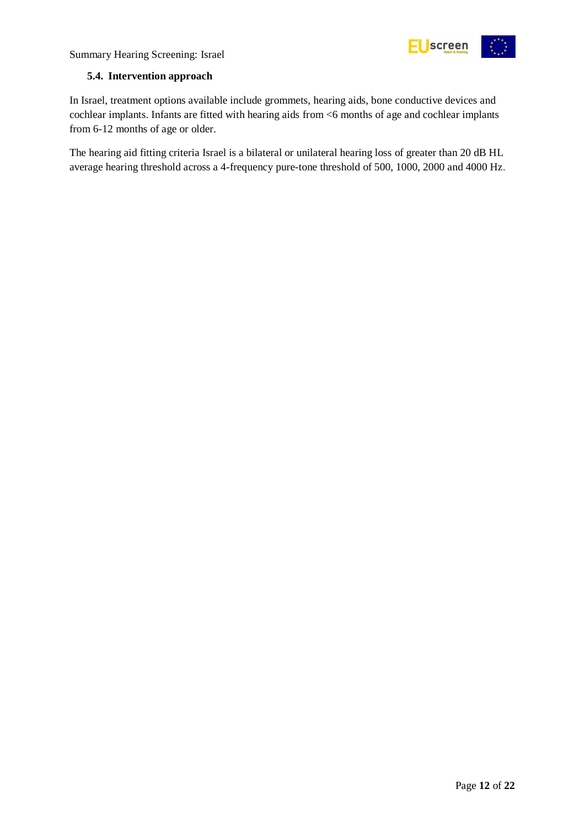



#### <span id="page-11-0"></span>**5.4. Intervention approach**

In Israel, treatment options available include grommets, hearing aids, bone conductive devices and cochlear implants. Infants are fitted with hearing aids from <6 months of age and cochlear implants from 6-12 months of age or older.

The hearing aid fitting criteria Israel is a bilateral or unilateral hearing loss of greater than 20 dB HL average hearing threshold across a 4-frequency pure-tone threshold of 500, 1000, 2000 and 4000 Hz.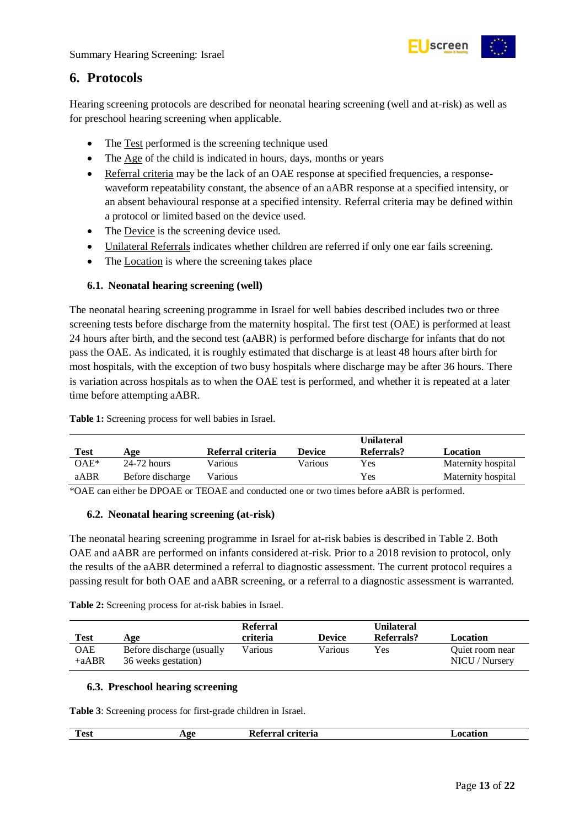

### <span id="page-12-0"></span>**6. Protocols**

Hearing screening protocols are described for neonatal hearing screening (well and at-risk) as well as for preschool hearing screening when applicable.

- The Test performed is the screening technique used
- The Age of the child is indicated in hours, days, months or years
- Referral criteria may be the lack of an OAE response at specified frequencies, a responsewaveform repeatability constant, the absence of an aABR response at a specified intensity, or an absent behavioural response at a specified intensity. Referral criteria may be defined within a protocol or limited based on the device used.
- The Device is the screening device used.
- Unilateral Referrals indicates whether children are referred if only one ear fails screening.
- The Location is where the screening takes place

#### <span id="page-12-1"></span>**6.1. Neonatal hearing screening (well)**

The neonatal hearing screening programme in Israel for well babies described includes two or three screening tests before discharge from the maternity hospital. The first test (OAE) is performed at least 24 hours after birth, and the second test (aABR) is performed before discharge for infants that do not pass the OAE. As indicated, it is roughly estimated that discharge is at least 48 hours after birth for most hospitals, with the exception of two busy hospitals where discharge may be after 36 hours. There is variation across hospitals as to when the OAE test is performed, and whether it is repeated at a later time before attempting aABR.

<span id="page-12-4"></span>**Table 1:** Screening process for well babies in Israel.

| <b>Test</b> | Age              | Referral criteria | <b>Device</b> | <b>Unilateral</b><br>Referrals? | Location           |
|-------------|------------------|-------------------|---------------|---------------------------------|--------------------|
| $OAE*$      | $24-72$ hours    | Various           | Various       | Yes                             | Maternity hospital |
| aABR        | Before discharge | Various           |               | Yes                             | Maternity hospital |

\*OAE can either be DPOAE or TEOAE and conducted one or two times before aABR is performed.

#### <span id="page-12-2"></span>**6.2. Neonatal hearing screening (at-risk)**

The neonatal hearing screening programme in Israel for at-risk babies is described in Table 2. Both OAE and aABR are performed on infants considered at-risk. Prior to a 2018 revision to protocol, only the results of the aABR determined a referral to diagnostic assessment. The current protocol requires a passing result for both OAE and aABR screening, or a referral to a diagnostic assessment is warranted.

<span id="page-12-5"></span>**Table 2:** Screening process for at-risk babies in Israel.

| Test           | Age                                              | Referral<br>criteria | <b>Device</b> | Unilateral<br>Referrals? | Location                          |
|----------------|--------------------------------------------------|----------------------|---------------|--------------------------|-----------------------------------|
| OAE<br>$+aABR$ | Before discharge (usually<br>36 weeks gestation) | Various              | Various       | Yes                      | Quiet room near<br>NICU / Nursery |

#### <span id="page-12-3"></span>**6.3. Preschool hearing screening**

<span id="page-12-6"></span>**Table 3**: Screening process for first-grade children in Israel.

| $\sim$<br>Test | --<br><br>. | -----<br>. на<br>m<br>- 21 |  |
|----------------|-------------|----------------------------|--|
|                |             |                            |  |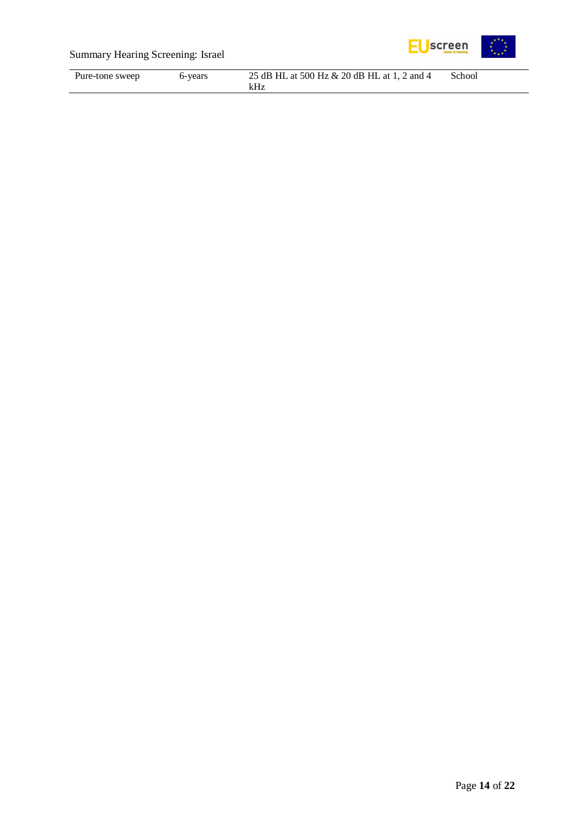

### Summary Hearing Screening: Israel

| Pure-tone sweep | 6-years | 25 dB HL at 500 Hz & 20 dB HL at 1, 2 and 4 | School |
|-----------------|---------|---------------------------------------------|--------|
|                 |         |                                             |        |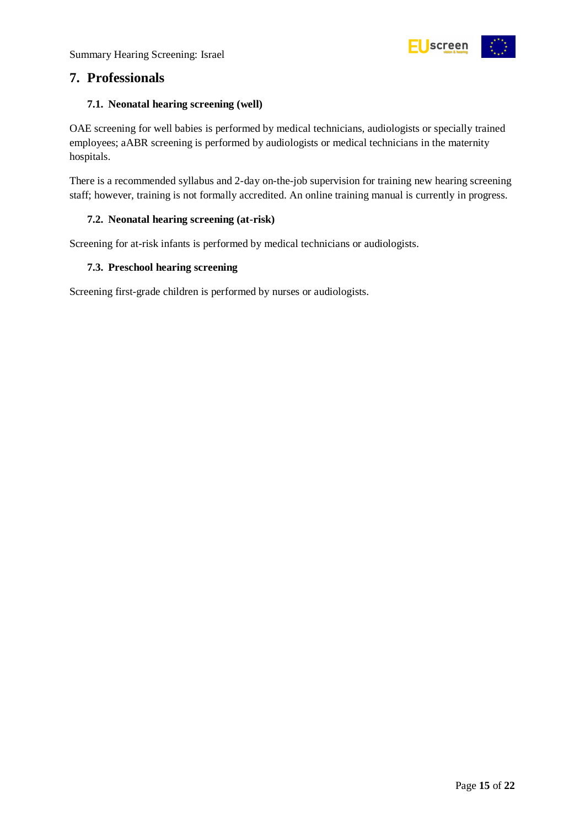

### <span id="page-14-0"></span>**7. Professionals**

#### <span id="page-14-1"></span>**7.1. Neonatal hearing screening (well)**

OAE screening for well babies is performed by medical technicians, audiologists or specially trained employees; aABR screening is performed by audiologists or medical technicians in the maternity hospitals.

There is a recommended syllabus and 2-day on-the-job supervision for training new hearing screening staff; however, training is not formally accredited. An online training manual is currently in progress.

#### <span id="page-14-2"></span>**7.2. Neonatal hearing screening (at-risk)**

Screening for at-risk infants is performed by medical technicians or audiologists.

#### <span id="page-14-3"></span>**7.3. Preschool hearing screening**

Screening first-grade children is performed by nurses or audiologists.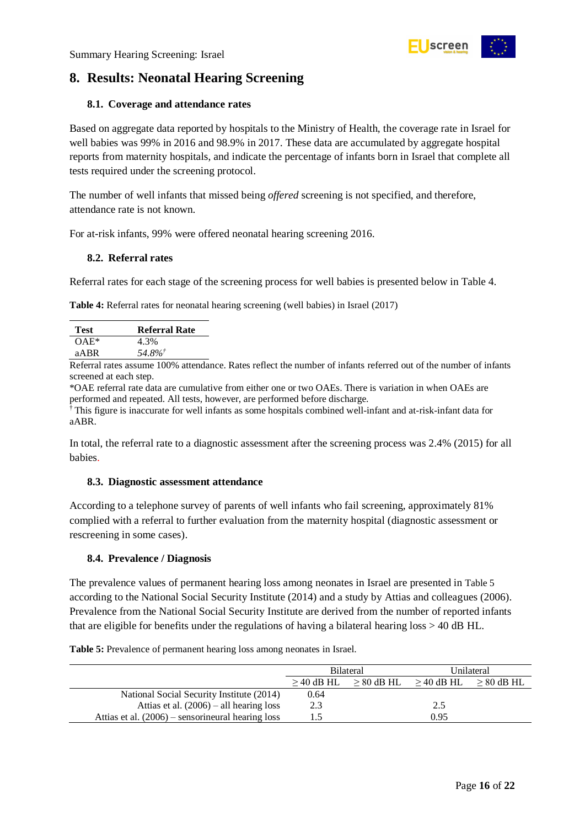

### <span id="page-15-0"></span>**8. Results: Neonatal Hearing Screening**

#### <span id="page-15-1"></span>**8.1. Coverage and attendance rates**

Based on aggregate data reported by hospitals to the Ministry of Health, the coverage rate in Israel for well babies was 99% in 2016 and 98.9% in 2017. These data are accumulated by aggregate hospital reports from maternity hospitals, and indicate the percentage of infants born in Israel that complete all tests required under the screening protocol.

The number of well infants that missed being *offered* screening is not specified, and therefore, attendance rate is not known.

For at-risk infants, 99% were offered neonatal hearing screening 2016.

#### <span id="page-15-2"></span>**8.2. Referral rates**

Referral rates for each stage of the screening process for well babies is presented below in Table 4.

<span id="page-15-5"></span>**Table 4:** Referral rates for neonatal hearing screening (well babies) in Israel (2017)

| <b>Test</b> | <b>Referral Rate</b> |
|-------------|----------------------|
| $OAE*$      | 4.3%                 |
| aABR        | 54.8%                |
|             |                      |

Referral rates assume 100% attendance. Rates reflect the number of infants referred out of the number of infants screened at each step.

\*OAE referral rate data are cumulative from either one or two OAEs. There is variation in when OAEs are performed and repeated. All tests, however, are performed before discharge.

† This figure is inaccurate for well infants as some hospitals combined well-infant and at-risk-infant data for aABR.

In total, the referral rate to a diagnostic assessment after the screening process was 2.4% (2015) for all babies.

#### <span id="page-15-3"></span>**8.3. Diagnostic assessment attendance**

According to a telephone survey of parents of well infants who fail screening, approximately 81% complied with a referral to further evaluation from the maternity hospital (diagnostic assessment or rescreening in some cases).

#### <span id="page-15-4"></span>**8.4. Prevalence / Diagnosis**

The prevalence values of permanent hearing loss among neonates in Israel are presented in [Table 5](#page-15-6) according to the National Social Security Institute (2014) and a study by Attias and colleagues (2006). Prevalence from the National Social Security Institute are derived from the number of reported infants that are eligible for benefits under the regulations of having a bilateral hearing loss > 40 dB HL.

<span id="page-15-6"></span>

| <b>Table 5:</b> Prevalence of permanent hearing loss among neonates in Israel. |  |
|--------------------------------------------------------------------------------|--|
|                                                                                |  |

|                                                     | <b>Bilateral</b> |  | Unilateral                |              |
|-----------------------------------------------------|------------------|--|---------------------------|--------------|
|                                                     | $>$ 40 dB HL     |  | $> 80$ dB HL $> 40$ dB HL | $> 80$ dB HL |
| National Social Security Institute (2014)           | 0.64             |  |                           |              |
| Attias et al. $(2006)$ – all hearing loss           | 2.3              |  | 2.5                       |              |
| Attias et al. $(2006)$ – sensorineural hearing loss | 1.5              |  | 0.95                      |              |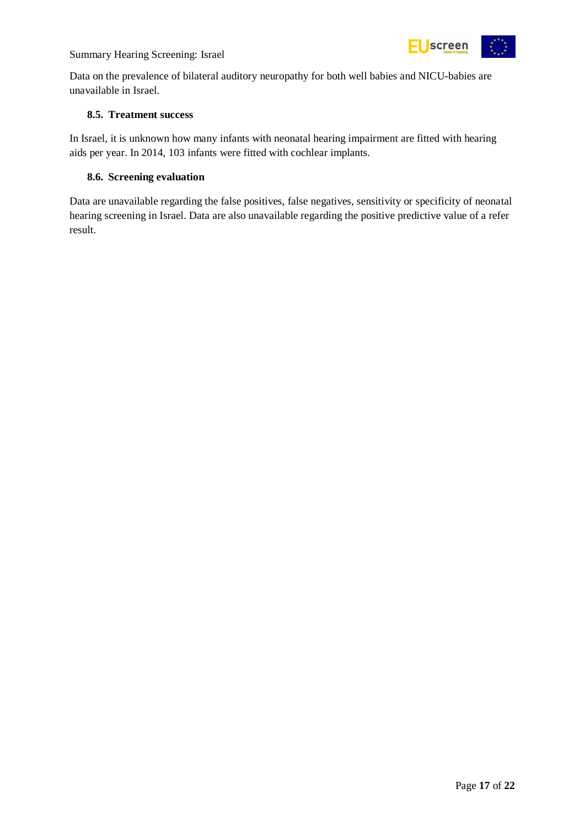



Data on the prevalence of bilateral auditory neuropathy for both well babies and NICU-babies are unavailable in Israel.

#### <span id="page-16-0"></span>**8.5. Treatment success**

In Israel, it is unknown how many infants with neonatal hearing impairment are fitted with hearing aids per year. In 2014, 103 infants were fitted with cochlear implants.

#### <span id="page-16-1"></span>**8.6. Screening evaluation**

Data are unavailable regarding the false positives, false negatives, sensitivity or specificity of neonatal hearing screening in Israel. Data are also unavailable regarding the positive predictive value of a refer result.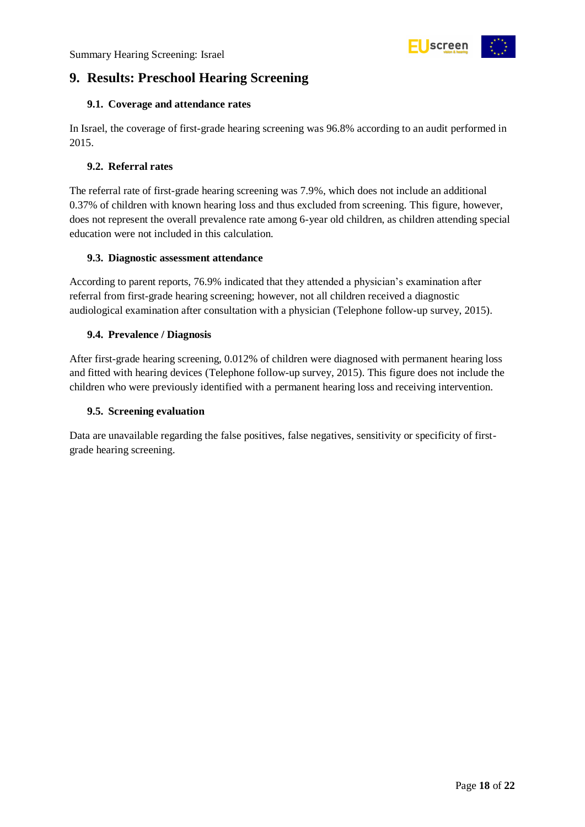

### <span id="page-17-0"></span>**9. Results: Preschool Hearing Screening**

#### <span id="page-17-1"></span>**9.1. Coverage and attendance rates**

In Israel, the coverage of first-grade hearing screening was 96.8% according to an audit performed in 2015.

#### <span id="page-17-2"></span>**9.2. Referral rates**

The referral rate of first-grade hearing screening was 7.9%, which does not include an additional 0.37% of children with known hearing loss and thus excluded from screening. This figure, however, does not represent the overall prevalence rate among 6-year old children, as children attending special education were not included in this calculation.

#### <span id="page-17-3"></span>**9.3. Diagnostic assessment attendance**

According to parent reports, 76.9% indicated that they attended a physician's examination after referral from first-grade hearing screening; however, not all children received a diagnostic audiological examination after consultation with a physician (Telephone follow-up survey, 2015).

#### <span id="page-17-4"></span>**9.4. Prevalence / Diagnosis**

After first-grade hearing screening, 0.012% of children were diagnosed with permanent hearing loss and fitted with hearing devices (Telephone follow-up survey, 2015). This figure does not include the children who were previously identified with a permanent hearing loss and receiving intervention.

#### <span id="page-17-5"></span>**9.5. Screening evaluation**

Data are unavailable regarding the false positives, false negatives, sensitivity or specificity of firstgrade hearing screening.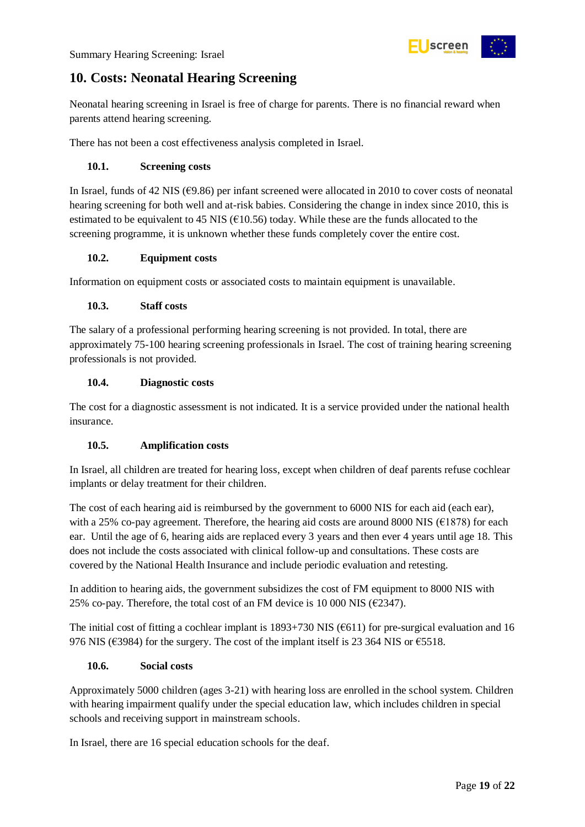

### <span id="page-18-0"></span>**10. Costs: Neonatal Hearing Screening**

Neonatal hearing screening in Israel is free of charge for parents. There is no financial reward when parents attend hearing screening.

There has not been a cost effectiveness analysis completed in Israel.

#### <span id="page-18-1"></span>**10.1. Screening costs**

In Israel, funds of 42 NIS ( $\epsilon$ 9.86) per infant screened were allocated in 2010 to cover costs of neonatal hearing screening for both well and at-risk babies. Considering the change in index since 2010, this is estimated to be equivalent to 45 NIS ( $\epsilon$ 10.56) today. While these are the funds allocated to the screening programme, it is unknown whether these funds completely cover the entire cost.

#### <span id="page-18-2"></span>**10.2. Equipment costs**

Information on equipment costs or associated costs to maintain equipment is unavailable.

#### <span id="page-18-3"></span>**10.3. Staff costs**

The salary of a professional performing hearing screening is not provided. In total, there are approximately 75-100 hearing screening professionals in Israel. The cost of training hearing screening professionals is not provided.

#### <span id="page-18-4"></span>**10.4. Diagnostic costs**

The cost for a diagnostic assessment is not indicated. It is a service provided under the national health insurance.

#### <span id="page-18-5"></span>**10.5. Amplification costs**

In Israel, all children are treated for hearing loss, except when children of deaf parents refuse cochlear implants or delay treatment for their children.

The cost of each hearing aid is reimbursed by the government to 6000 NIS for each aid (each ear), with a 25% co-pay agreement. Therefore, the hearing aid costs are around 8000 NIS ( $E1878$ ) for each ear. Until the age of 6, hearing aids are replaced every 3 years and then ever 4 years until age 18. This does not include the costs associated with clinical follow-up and consultations. These costs are covered by the National Health Insurance and include periodic evaluation and retesting.

In addition to hearing aids, the government subsidizes the cost of FM equipment to 8000 NIS with 25% co-pay. Therefore, the total cost of an FM device is 10 000 NIS ( $\epsilon$ 2347).

The initial cost of fitting a cochlear implant is  $1893+730$  NIS ( $6611$ ) for pre-surgical evaluation and 16 976 NIS ( $\epsilon$ 3984) for the surgery. The cost of the implant itself is 23 364 NIS or  $\epsilon$ 5518.

#### <span id="page-18-6"></span>**10.6. Social costs**

Approximately 5000 children (ages 3-21) with hearing loss are enrolled in the school system. Children with hearing impairment qualify under the special education law, which includes children in special schools and receiving support in mainstream schools.

In Israel, there are 16 special education schools for the deaf.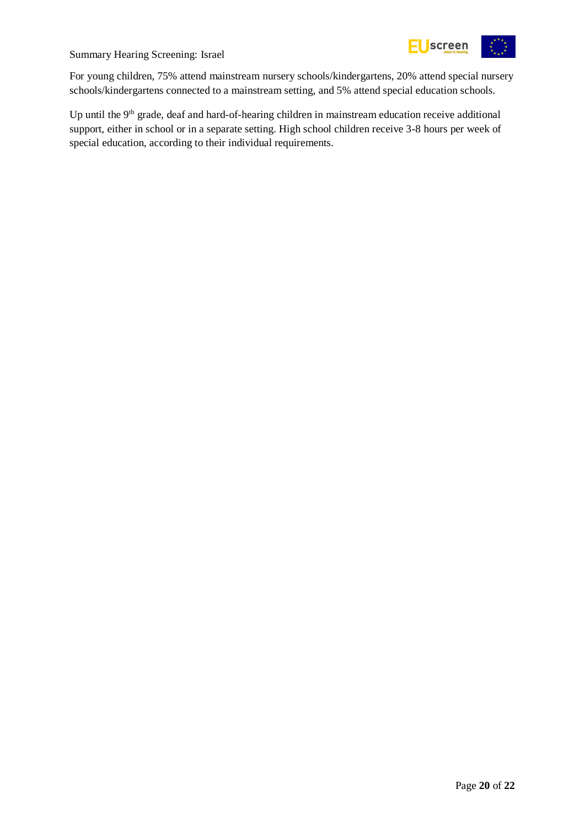



For young children, 75% attend mainstream nursery schools/kindergartens, 20% attend special nursery schools/kindergartens connected to a mainstream setting, and 5% attend special education schools.

Up until the  $9<sup>th</sup>$  grade, deaf and hard-of-hearing children in mainstream education receive additional support, either in school or in a separate setting. High school children receive 3-8 hours per week of special education, according to their individual requirements.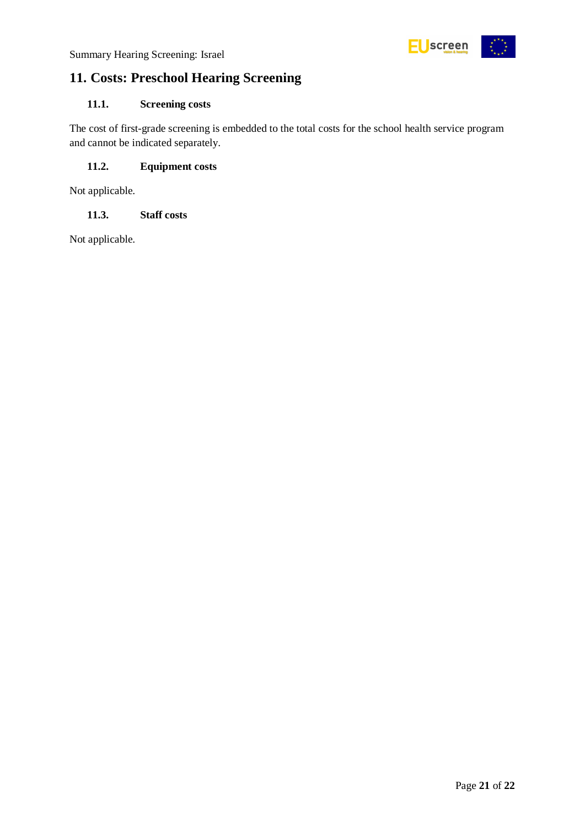

### <span id="page-20-0"></span>**11. Costs: Preschool Hearing Screening**

#### <span id="page-20-1"></span>**11.1. Screening costs**

The cost of first-grade screening is embedded to the total costs for the school health service program and cannot be indicated separately.

#### <span id="page-20-2"></span>**11.2. Equipment costs**

Not applicable.

#### <span id="page-20-3"></span>**11.3. Staff costs**

Not applicable.